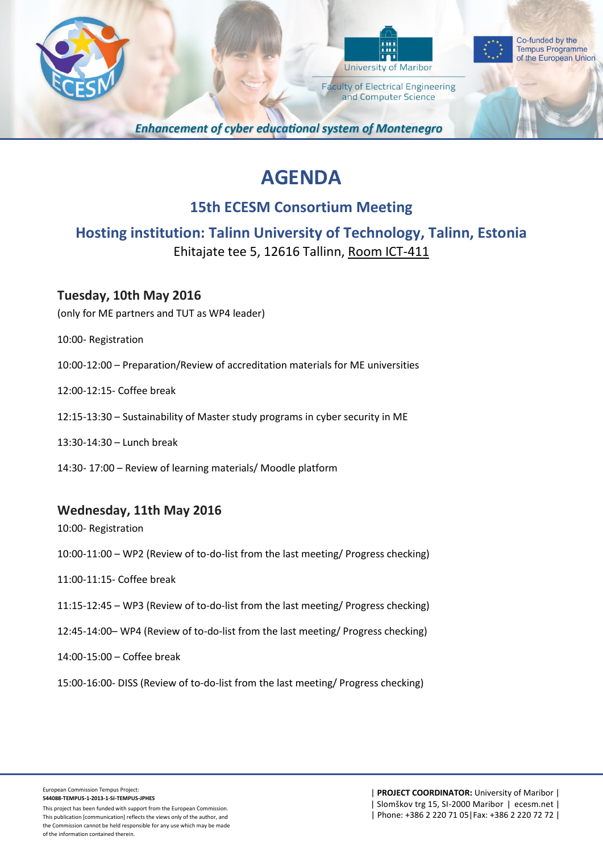



Co-funded by the **Tempus Programme** of the European Union

**Faculty of Electrical Engineering** and Computer Science

**Enhancement of cyber educational system of Montenegro** 

# **AGENDA**

# **15th ECESM Consortium Meeting**

**Hosting institution: Talinn University of Technology, Talinn, Estonia** Ehitajate tee 5, 12616 Tallinn, Room ICT-411

## **Tuesday, 10th May 2016**

(only for ME partners and TUT as WP4 leader)

- 10:00- Registration
- 10:00-12:00 Preparation/Review of accreditation materials for ME universities
- 12:00-12:15- Coffee break
- 12:15-13:30 Sustainability of Master study programs in cyber security in ME
- 13:30-14:30 Lunch break
- 14:30- 17:00 Review of learning materials/ Moodle platform

### **Wednesday, 11th May 2016**

10:00- Registration

- 10:00-11:00 WP2 (Review of to-do-list from the last meeting/ Progress checking)
- 11:00-11:15- Coffee break
- 11:15-12:45 WP3 (Review of to-do-list from the last meeting/ Progress checking)
- 12:45-14:00– WP4 (Review of to-do-list from the last meeting/ Progress checking)
- 14:00-15:00 Coffee break
- 15:00-16:00- DISS (Review of to-do-list from the last meeting/ Progress checking)

This project has been funded with support from the European Commission. This publication [communication] reflects the views only of the author, and the Commission cannot be held responsible for any use which may be made of the information contained therein.